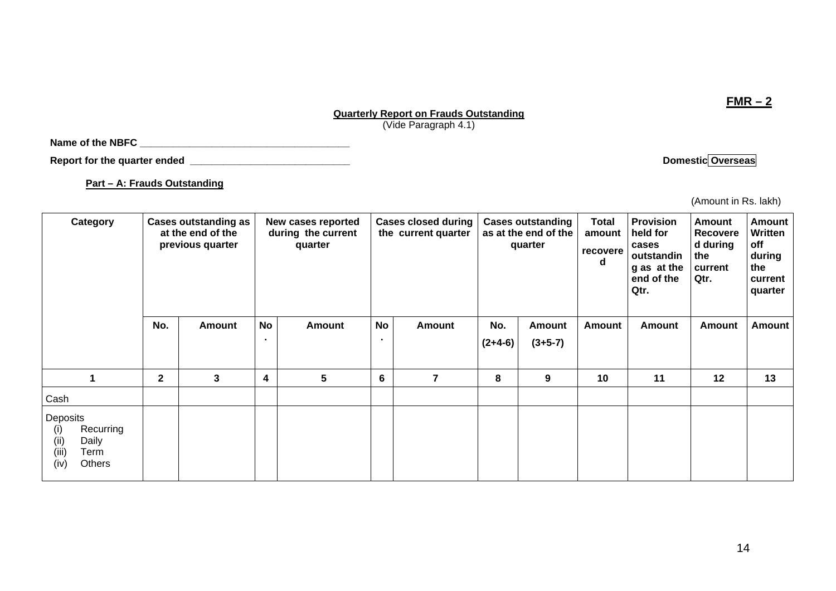## **Quarterly Report on Frauds Outstanding** (Vide Paragraph 4.1)

**Name of the NBFC \_\_\_\_\_\_\_\_\_\_\_\_\_\_\_\_\_\_\_\_\_\_\_\_\_\_\_\_\_\_\_\_\_\_\_\_\_\_** 

**Report for the quarter ended** <br> **Report for the quarter ended Domestic Overseas** 

**Part – A: Frauds Outstanding**

 (Amount in Rs. lakh) **Total Provision** 

| <b>Cases outstanding as</b><br>at the end of the<br>previous quarter |               |                      | quarter         |                                          |        |                                                   |                     | <b>Total</b><br>amount<br>recovere<br>d                     | <b>Provision</b><br>held for<br>cases<br>outstandin<br>g as at the<br>end of the<br>Qtr. | <b>Amount</b><br>Recovere<br>d during<br>the<br>current<br>Qtr. | <b>Amount</b><br><b>Written</b><br>off<br>during<br>the<br>current<br>quarter |
|----------------------------------------------------------------------|---------------|----------------------|-----------------|------------------------------------------|--------|---------------------------------------------------|---------------------|-------------------------------------------------------------|------------------------------------------------------------------------------------------|-----------------------------------------------------------------|-------------------------------------------------------------------------------|
| No.                                                                  | <b>Amount</b> | No<br>$\blacksquare$ | <b>Amount</b>   | No<br>$\blacksquare$                     | Amount | No.<br>$(2+4-6)$                                  | Amount<br>$(3+5-7)$ | <b>Amount</b>                                               | <b>Amount</b>                                                                            | Amount                                                          | <b>Amount</b>                                                                 |
| $\mathbf{2}$                                                         | 3             | 4                    | $5\phantom{.0}$ | $6\phantom{1}6$                          | 7      | 8                                                 | 9                   | 10                                                          | 11                                                                                       | 12                                                              | 13                                                                            |
|                                                                      |               |                      |                 |                                          |        |                                                   |                     |                                                             |                                                                                          |                                                                 |                                                                               |
|                                                                      |               |                      |                 |                                          |        |                                                   |                     |                                                             |                                                                                          |                                                                 |                                                                               |
|                                                                      |               |                      |                 | New cases reported<br>during the current |        | <b>Cases closed during</b><br>the current quarter |                     | <b>Cases outstanding</b><br>as at the end of the<br>quarter |                                                                                          |                                                                 |                                                                               |

**FMR – 2**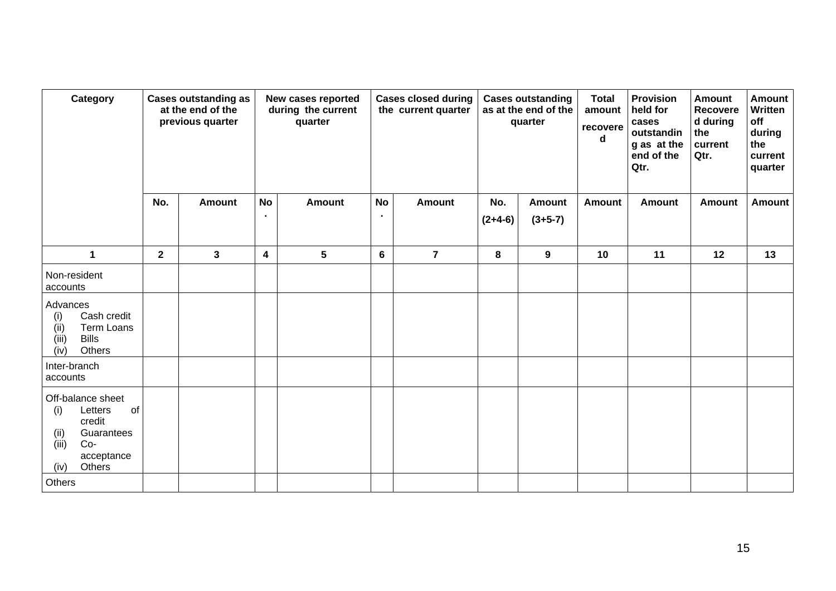| Category                                                                                                                    | <b>Cases outstanding as</b><br>at the end of the<br>previous quarter |               | New cases reported<br>during the current<br>quarter |                 |           | <b>Cases closed during</b><br>the current quarter |                       | <b>Cases outstanding</b><br>as at the end of the<br>quarter | <b>Total</b><br>amount<br>recovere<br>d | <b>Provision</b><br>held for<br>cases<br>outstandin<br>g as at the<br>end of the<br>Qtr. | <b>Amount</b><br><b>Recovere</b><br>d during<br>the<br>current<br>Qtr. | <b>Amount</b><br>Written<br>off<br>during<br>the<br>current<br>quarter |
|-----------------------------------------------------------------------------------------------------------------------------|----------------------------------------------------------------------|---------------|-----------------------------------------------------|-----------------|-----------|---------------------------------------------------|-----------------------|-------------------------------------------------------------|-----------------------------------------|------------------------------------------------------------------------------------------|------------------------------------------------------------------------|------------------------------------------------------------------------|
|                                                                                                                             | No.                                                                  | <b>Amount</b> | <b>No</b><br>$\bullet$                              | <b>Amount</b>   | <b>No</b> | <b>Amount</b>                                     |                       | <b>Amount</b><br>$(3+5-7)$                                  | <b>Amount</b>                           | <b>Amount</b>                                                                            | <b>Amount</b>                                                          | <b>Amount</b>                                                          |
|                                                                                                                             |                                                                      |               |                                                     |                 |           |                                                   | $(2+4-6)$             |                                                             |                                         |                                                                                          |                                                                        |                                                                        |
| $\mathbf{1}$                                                                                                                | $\mathbf{2}$                                                         | $\mathbf{3}$  | $\boldsymbol{4}$                                    | $5\phantom{.0}$ | 6         | $\overline{7}$                                    | 8<br>$\boldsymbol{9}$ |                                                             | 10                                      | 11                                                                                       | 12                                                                     | 13                                                                     |
| Non-resident<br>accounts                                                                                                    |                                                                      |               |                                                     |                 |           |                                                   |                       |                                                             |                                         |                                                                                          |                                                                        |                                                                        |
| Advances<br>Cash credit<br>(i)<br>Term Loans<br>(ii)<br><b>Bills</b><br>(iii)<br>(iv)<br>Others                             |                                                                      |               |                                                     |                 |           |                                                   |                       |                                                             |                                         |                                                                                          |                                                                        |                                                                        |
| Inter-branch<br>accounts                                                                                                    |                                                                      |               |                                                     |                 |           |                                                   |                       |                                                             |                                         |                                                                                          |                                                                        |                                                                        |
| Off-balance sheet<br>Letters<br>of<br>(i)<br>credit<br>(ii)<br>Guarantees<br>(iii)<br>$Co-$<br>acceptance<br>Others<br>(iv) |                                                                      |               |                                                     |                 |           |                                                   |                       |                                                             |                                         |                                                                                          |                                                                        |                                                                        |
| Others                                                                                                                      |                                                                      |               |                                                     |                 |           |                                                   |                       |                                                             |                                         |                                                                                          |                                                                        |                                                                        |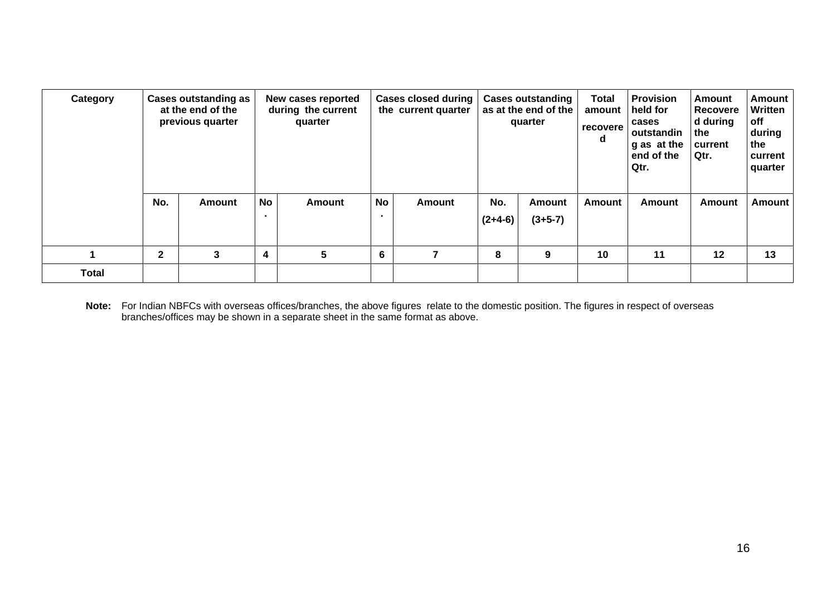| Category     |              | <b>Cases outstanding as</b><br>at the end of the<br>previous quarter |                         | New cases reported<br>during the current<br>quarter |           | <b>Cases closed during</b><br>the current quarter |                  | <b>Cases outstanding</b><br>as at the end of the<br>quarter | <b>Total</b><br>amount<br>recovere<br>d | <b>Provision</b><br>held for<br>cases<br>outstandin<br>g as at the<br>end of the<br>Qtr. | Amount<br><b>Recovere</b><br>d during<br>the<br>current<br>Qtr. | Amount<br>Written<br>off<br>during<br>the<br>current<br>quarter |
|--------------|--------------|----------------------------------------------------------------------|-------------------------|-----------------------------------------------------|-----------|---------------------------------------------------|------------------|-------------------------------------------------------------|-----------------------------------------|------------------------------------------------------------------------------------------|-----------------------------------------------------------------|-----------------------------------------------------------------|
|              | No.          | <b>Amount</b>                                                        | No<br>$\blacksquare$    | <b>Amount</b>                                       | <b>No</b> | Amount                                            | No.<br>$(2+4-6)$ | <b>Amount</b><br>$(3+5-7)$                                  | Amount                                  | Amount                                                                                   | <b>Amount</b>                                                   | Amount                                                          |
|              | $\mathbf{2}$ | 3                                                                    | $\overline{\mathbf{4}}$ | 5                                                   |           | 6                                                 |                  | 9                                                           | 10                                      | 11                                                                                       | 12                                                              | 13                                                              |
| <b>Total</b> |              |                                                                      |                         |                                                     |           |                                                   |                  |                                                             |                                         |                                                                                          |                                                                 |                                                                 |

**Note:** For Indian NBFCs with overseas offices/branches, the above figures relate to the domestic position. The figures in respect of overseas branches/offices may be shown in a separate sheet in the same format as above.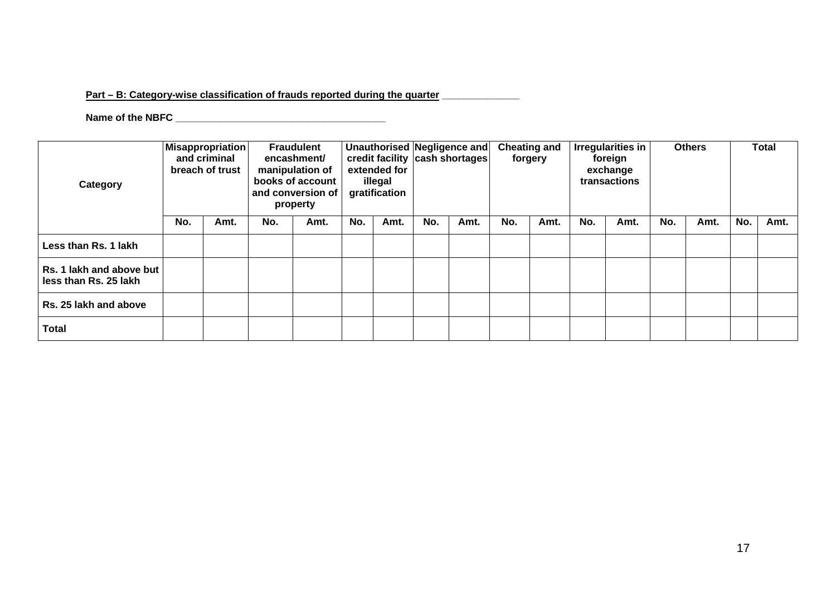## Part – B: Category-wise classification of frauds reported during the quarter **\_\_\_\_\_\_\_\_\_\_\_**

**Name of the NBFC \_\_\_\_\_\_\_\_\_\_\_\_\_\_\_\_\_\_\_\_\_\_\_\_\_\_\_\_\_\_\_\_\_\_\_\_\_\_** 

| Category                                          | Misappropriation<br>and criminal<br>breach of trust |      | <b>Fraudulent</b><br>encashment/<br>manipulation of<br>books of account<br>and conversion of<br>property |      | extended for<br>illegal<br>gratification |      | Unauthorised Negligence and<br>credit facility cash shortages |      | <b>Cheating and</b><br>forgery |      | <b>Irregularities in</b><br>foreign<br>exchange<br>transactions |      | <b>Others</b> |      | Total |      |
|---------------------------------------------------|-----------------------------------------------------|------|----------------------------------------------------------------------------------------------------------|------|------------------------------------------|------|---------------------------------------------------------------|------|--------------------------------|------|-----------------------------------------------------------------|------|---------------|------|-------|------|
|                                                   | No.                                                 | Amt. | No.                                                                                                      | Amt. | No.                                      | Amt. | No.                                                           | Amt. | No.                            | Amt. | No.                                                             | Amt. | No.           | Amt. | No.   | Amt. |
| Less than Rs. 1 lakh                              |                                                     |      |                                                                                                          |      |                                          |      |                                                               |      |                                |      |                                                                 |      |               |      |       |      |
| Rs. 1 lakh and above but<br>less than Rs. 25 lakh |                                                     |      |                                                                                                          |      |                                          |      |                                                               |      |                                |      |                                                                 |      |               |      |       |      |
| Rs. 25 lakh and above                             |                                                     |      |                                                                                                          |      |                                          |      |                                                               |      |                                |      |                                                                 |      |               |      |       |      |
| <b>Total</b>                                      |                                                     |      |                                                                                                          |      |                                          |      |                                                               |      |                                |      |                                                                 |      |               |      |       |      |